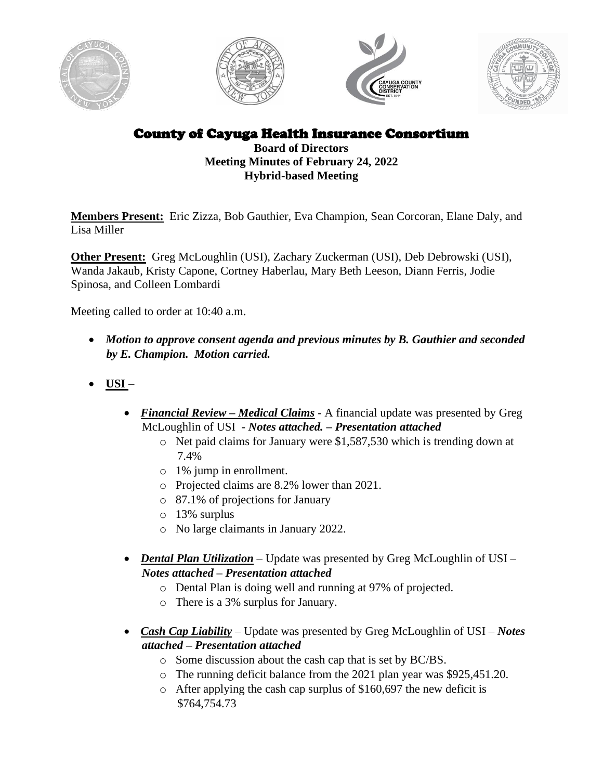







County of Cayuga Health Insurance Consortium

**Board of Directors Meeting Minutes of February 24, 2022 Hybrid-based Meeting**

**Members Present:** Eric Zizza, Bob Gauthier, Eva Champion, Sean Corcoran, Elane Daly, and Lisa Miller

**Other Present:** Greg McLoughlin (USI), Zachary Zuckerman (USI), Deb Debrowski (USI), Wanda Jakaub, Kristy Capone, Cortney Haberlau, Mary Beth Leeson, Diann Ferris, Jodie Spinosa, and Colleen Lombardi

Meeting called to order at 10:40 a.m.

- *Motion to approve consent agenda and previous minutes by B. Gauthier and seconded by E. Champion. Motion carried.*
- **USI** 
	- *Financial Review Medical Claims A financial update was presented by Greg* McLoughlin of USI - *Notes attached. – Presentation attached*
		- o Net paid claims for January were \$1,587,530 which is trending down at 7.4%
		- o 1% jump in enrollment.
		- o Projected claims are 8.2% lower than 2021.
		- o 87.1% of projections for January
		- o 13% surplus
		- o No large claimants in January 2022.
	- *Dental Plan Utilization* Update was presented by Greg McLoughlin of USI *Notes attached – Presentation attached*
		- o Dental Plan is doing well and running at 97% of projected.
		- o There is a 3% surplus for January.
	- *Cash Cap Liability* Update was presented by Greg McLoughlin of USI *Notes attached – Presentation attached*
		- o Some discussion about the cash cap that is set by BC/BS.
		- o The running deficit balance from the 2021 plan year was \$925,451.20.
		- o After applying the cash cap surplus of \$160,697 the new deficit is \$764,754.73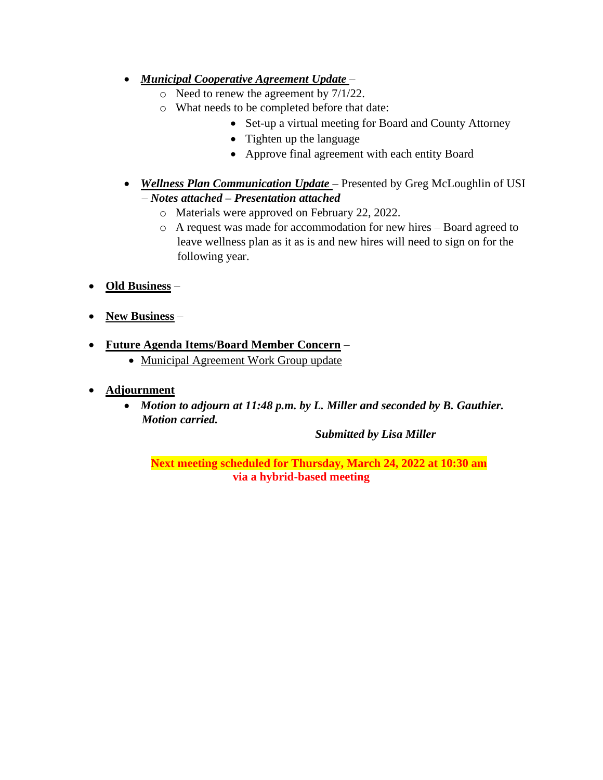- *Municipal Cooperative Agreement Update* 
	- o Need to renew the agreement by 7/1/22.
	- o What needs to be completed before that date:
		- Set-up a virtual meeting for Board and County Attorney
		- Tighten up the language
		- Approve final agreement with each entity Board
- *Wellness Plan Communication Update*  Presented by Greg McLoughlin of USI – *Notes attached – Presentation attached*
	- o Materials were approved on February 22, 2022.
	- o A request was made for accommodation for new hires Board agreed to leave wellness plan as it as is and new hires will need to sign on for the following year.
- **Old Business** –
- **New Business** –
- **Future Agenda Items/Board Member Concern**
	- Municipal Agreement Work Group update
- **Adjournment**
	- *Motion to adjourn at 11:48 p.m. by L. Miller and seconded by B. Gauthier. Motion carried.*

*Submitted by Lisa Miller*

**Next meeting scheduled for Thursday, March 24, 2022 at 10:30 am via a hybrid-based meeting**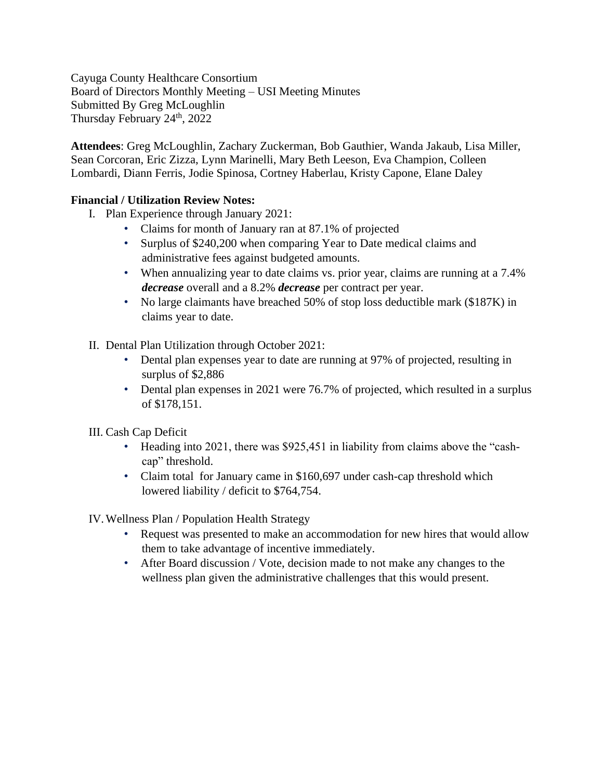Cayuga County Healthcare Consortium Board of Directors Monthly Meeting – USI Meeting Minutes Submitted By Greg McLoughlin Thursday February 24<sup>th</sup>, 2022

**Attendees**: Greg McLoughlin, Zachary Zuckerman, Bob Gauthier, Wanda Jakaub, Lisa Miller, Sean Corcoran, Eric Zizza, Lynn Marinelli, Mary Beth Leeson, Eva Champion, Colleen Lombardi, Diann Ferris, Jodie Spinosa, Cortney Haberlau, Kristy Capone, Elane Daley

## **Financial / Utilization Review Notes:**

- I. Plan Experience through January 2021:
	- Claims for month of January ran at 87.1% of projected
	- Surplus of \$240,200 when comparing Year to Date medical claims and administrative fees against budgeted amounts.
	- When annualizing year to date claims vs. prior year, claims are running at a 7.4% *decrease* overall and a 8.2% *decrease* per contract per year.
	- No large claimants have breached 50% of stop loss deductible mark (\$187K) in claims year to date.
- II. Dental Plan Utilization through October 2021:
	- Dental plan expenses year to date are running at 97% of projected, resulting in surplus of \$2,886
	- Dental plan expenses in 2021 were 76.7% of projected, which resulted in a surplus of \$178,151.

## III. Cash Cap Deficit

- Heading into 2021, there was \$925,451 in liability from claims above the "cashcap" threshold.
- Claim total for January came in \$160,697 under cash-cap threshold which lowered liability / deficit to \$764,754.

IV.Wellness Plan / Population Health Strategy

- Request was presented to make an accommodation for new hires that would allow them to take advantage of incentive immediately.
- After Board discussion / Vote, decision made to not make any changes to the wellness plan given the administrative challenges that this would present.